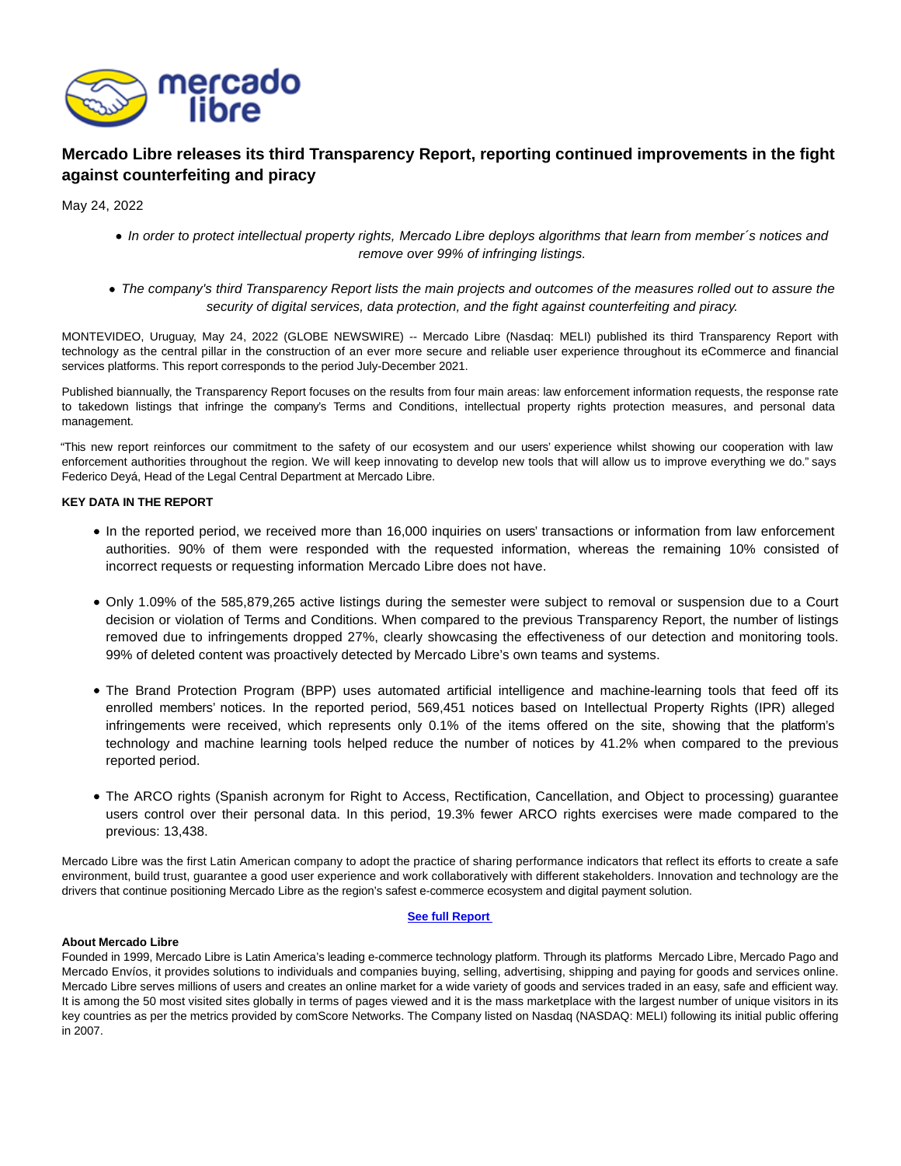

## **Mercado Libre releases its third Transparency Report, reporting continued improvements in the fight against counterfeiting and piracy**

May 24, 2022

- In order to protect intellectual property rights, Mercado Libre deploys algorithms that learn from member's notices and remove over 99% of infringing listings.
- The company's third Transparency Report lists the main projects and outcomes of the measures rolled out to assure the security of digital services, data protection, and the fight against counterfeiting and piracy.

MONTEVIDEO, Uruguay, May 24, 2022 (GLOBE NEWSWIRE) -- Mercado Libre (Nasdaq: MELI) published its third Transparency Report with technology as the central pillar in the construction of an ever more secure and reliable user experience throughout its eCommerce and financial services platforms. This report corresponds to the period July-December 2021.

Published biannually, the Transparency Report focuses on the results from four main areas: law enforcement information requests, the response rate to takedown listings that infringe the company's Terms and Conditions, intellectual property rights protection measures, and personal data management.

"This new report reinforces our commitment to the safety of our ecosystem and our users' experience whilst showing our cooperation with law enforcement authorities throughout the region. We will keep innovating to develop new tools that will allow us to improve everything we do." says Federico Deyá, Head of the Legal Central Department at Mercado Libre.

## **KEY DATA IN THE REPORT**

- In the reported period, we received more than 16,000 inquiries on users' transactions or information from law enforcement authorities. 90% of them were responded with the requested information, whereas the remaining 10% consisted of incorrect requests or requesting information Mercado Libre does not have.
- Only 1.09% of the 585,879,265 active listings during the semester were subject to removal or suspension due to a Court decision or violation of Terms and Conditions. When compared to the previous Transparency Report, the number of listings removed due to infringements dropped 27%, clearly showcasing the effectiveness of our detection and monitoring tools. 99% of deleted content was proactively detected by Mercado Libre's own teams and systems.
- The Brand Protection Program (BPP) uses automated artificial intelligence and machine-learning tools that feed off its enrolled members' notices. In the reported period, 569,451 notices based on Intellectual Property Rights (IPR) alleged infringements were received, which represents only 0.1% of the items offered on the site, showing that the platform's technology and machine learning tools helped reduce the number of notices by 41.2% when compared to the previous reported period.
- The ARCO rights (Spanish acronym for Right to Access, Rectification, Cancellation, and Object to processing) guarantee users control over their personal data. In this period, 19.3% fewer ARCO rights exercises were made compared to the previous: 13,438.

Mercado Libre was the first Latin American company to adopt the practice of sharing performance indicators that reflect its efforts to create a safe environment, build trust, guarantee a good user experience and work collaboratively with different stakeholders. Innovation and technology are the drivers that continue positioning Mercado Libre as the region's safest e-commerce ecosystem and digital payment solution.

## **[See full Report](https://www.globenewswire.com/Tracker?data=mSnGAxHJ8r6pyBxhShTNDn8M31euQiPf5PM52LdceOUWscg7EDbzrQLQi4WFw38kfVr3wPJDc1OJr6IhXaC56rmKzHRyGH07HdFiWqkCUOm8374zQrS7xI2F_hMybmhYqFXB-WbaL6RzvPhOdjYme2zNQQoRe1Oxqop-RlV2HfHnyrq2vFw47XE_e-gZy3Ha)**

## **About Mercado Libre**

Founded in 1999, Mercado Libre is Latin America's leading e-commerce technology platform. Through its platforms Mercado Libre, Mercado Pago and Mercado Envíos, it provides solutions to individuals and companies buying, selling, advertising, shipping and paying for goods and services online. Mercado Libre serves millions of users and creates an online market for a wide variety of goods and services traded in an easy, safe and efficient way. It is among the 50 most visited sites globally in terms of pages viewed and it is the mass marketplace with the largest number of unique visitors in its key countries as per the metrics provided by comScore Networks. The Company listed on Nasdaq (NASDAQ: MELI) following its initial public offering in 2007.